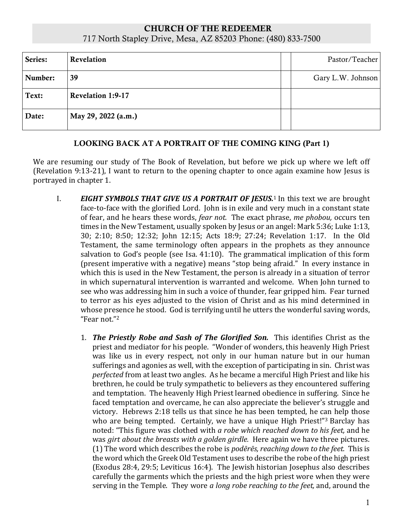## CHURCH OF THE REDEEMER 717 North Stapley Drive, Mesa, AZ 85203 Phone: (480) 833-7500

| Series: | Revelation               | Pastor/Teacher    |
|---------|--------------------------|-------------------|
| Number: | 39                       | Gary L.W. Johnson |
| Text:   | <b>Revelation 1:9-17</b> |                   |
| Date:   | May 29, 2022 (a.m.)      |                   |

## LOOKING BACK AT A PORTRAIT OF THE COMING KING (Part 1)

We are resuming our study of The Book of Revelation, but before we pick up where we left off (Revelation 9:13-21), I want to return to the opening chapter to once again examine how Jesus is portrayed in chapter 1.

- I. *EIGHT SYMBOLS THAT GIVE US A PORTRAIT OF JESUS.*<sup>1</sup> In this text we are brought face-to-face with the glorified Lord. John is in exile and very much in a constant state of fear, and he hears these words, *fear not.* The exact phrase, *me phobou,* occurs ten times in the New Testament, usually spoken by Jesus or an angel: Mark 5:36; Luke 1:13, 30; 2:10; 8:50; 12:32; John 12:15; Acts 18:9; 27:24; Revelation 1:17. In the Old Testament, the same terminology often appears in the prophets as they announce salvation to God's people (see Isa. 41:10). The grammatical implication of this form (present imperative with a negative) means "stop being afraid." In every instance in which this is used in the New Testament, the person is already in a situation of terror in which supernatural intervention is warranted and welcome. When John turned to see who was addressing him in such a voice of thunder, fear gripped him. Fear turned to terror as his eyes adjusted to the vision of Christ and as his mind determined in whose presence he stood. God is terrifying until he utters the wonderful saving words, "Fear not."<sup>2</sup>
	- 1. *The Priestly Robe and Sash of The Glorified Son.* This identifies Christ as the priest and mediator for his people. "Wonder of wonders, this heavenly High Priest was like us in every respect, not only in our human nature but in our human sufferings and agonies as well, with the exception of participating in sin. Christ was *perfected* from at least two angles. As he became a merciful High Priest and like his brethren, he could be truly sympathetic to believers as they encountered suffering and temptation. The heavenly High Priest learned obedience in suffering. Since he faced temptation and overcame, he can also appreciate the believer's struggle and victory. Hebrews 2:18 tells us that since he has been tempted, he can help those who are being tempted. Certainly, we have a unique High Priest!"<sup>3</sup> Barclay has noted: "This figure was clothed with *a robe which reached down to his feet,* and he was *girt about the breasts with a golden girdle.* Here again we have three pictures. (1) The word which describes the robe is *podērēs, reaching down to the feet.* This is the word which the Greek Old Testament uses to describe the robe of the high priest (Exodus 28:4, 29:5; Leviticus 16:4). The Jewish historian Josephus also describes carefully the garments which the priests and the high priest wore when they were serving in the Temple. They wore *a long robe reaching to the feet,* and, around the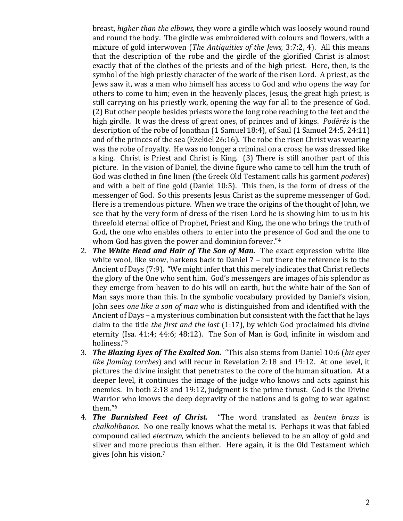breast, *higher than the elbows,* they wore a girdle which was loosely wound round and round the body. The girdle was embroidered with colours and flowers, with a mixture of gold interwoven (*The Antiquities of the Jews,* 3:7:2, 4). All this means that the description of the robe and the girdle of the glorified Christ is almost exactly that of the clothes of the priests and of the high priest. Here, then, is the symbol of the high priestly character of the work of the risen Lord. A priest, as the Jews saw it, was a man who himself has access to God and who opens the way for others to come to him; even in the heavenly places, Jesus, the great high priest, is still carrying on his priestly work, opening the way for all to the presence of God. (2) But other people besides priests wore the long robe reaching to the feet and the high girdle. It was the dress of great ones, of princes and of kings. *Podērēs* is the description of the robe of Jonathan (1 Samuel 18:4), of Saul (1 Samuel 24:5, 24:11) and of the princes of the sea (Ezekiel 26:16). The robe the risen Christ was wearing was the robe of royalty. He was no longer a criminal on a cross; he was dressed like a king. Christ is Priest and Christ is King. (3) There is still another part of this picture. In the vision of Daniel, the divine figure who came to tell him the truth of God was clothed in fine linen (the Greek Old Testament calls his garment *podērēs*) and with a belt of fine gold (Daniel 10:5). This then, is the form of dress of the messenger of God. So this presents Jesus Christ as the supreme messenger of God. Here is a tremendous picture. When we trace the origins of the thought of John, we see that by the very form of dress of the risen Lord he is showing him to us in his threefold eternal office of Prophet, Priest and King, the one who brings the truth of God, the one who enables others to enter into the presence of God and the one to whom God has given the power and dominion forever."<sup>4</sup>

- 2. *The White Head and Hair of The Son of Man.* The exact expression white like white wool, like snow, harkens back to Daniel 7 – but there the reference is to the Ancient of Days (7:9). "We might infer that this merely indicates that Christ reflects the glory of the One who sent him. God's messengers are images of his splendor as they emerge from heaven to do his will on earth, but the white hair of the Son of Man says more than this. In the symbolic vocabulary provided by Daniel's vision, John sees *one like a son of man* who is distinguished from and identified with the Ancient of Days – a mysterious combination but consistent with the fact that he lays claim to the title *the first and the last* (1:17), by which God proclaimed his divine eternity (Isa. 41:4; 44:6; 48:12). The Son of Man is God, infinite in wisdom and holiness."<sup>5</sup>
- 3. *The Blazing Eyes of The Exalted Son.* "This also stems from Daniel 10:6 (*his eyes like flaming torches*) and will recur in Revelation 2:18 and 19:12. At one level, it pictures the divine insight that penetrates to the core of the human situation. At a deeper level, it continues the image of the judge who knows and acts against his enemies. In both 2:18 and 19:12, judgment is the prime thrust. God is the Divine Warrior who knows the deep depravity of the nations and is going to war against them."<sup>6</sup>
- 4. *The Burnished Feet of Christ.* "The word translated as *beaten brass* is *chalkolibanos.* No one really knows what the metal is. Perhaps it was that fabled compound called *electrum,* which the ancients believed to be an alloy of gold and silver and more precious than either. Here again, it is the Old Testament which gives John his vision.<sup>7</sup>